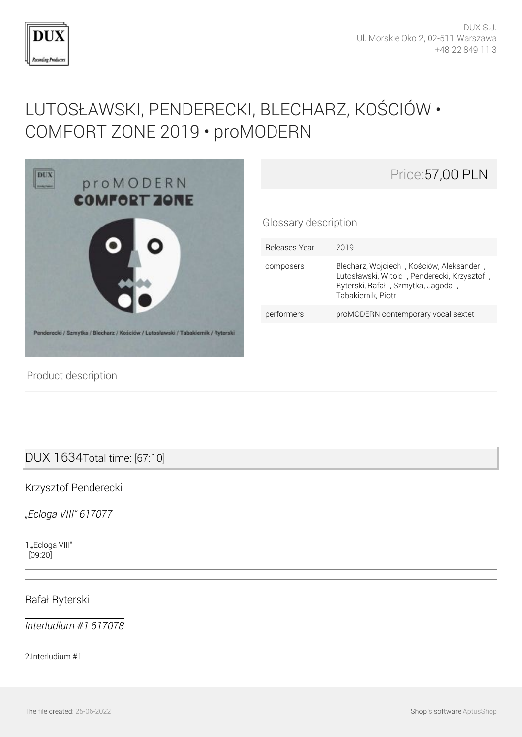

# [LUTOSŁAWSKI, PENDERECKI, BLECHARZ, KOŚCIÓW •](http://en.dux.pl/lutoslawski-penderecki-blecharz-kosciow-comfort-zone-2019-promodern.html) [COMFORT ZONE 2019 • proMODERN](http://en.dux.pl/lutoslawski-penderecki-blecharz-kosciow-comfort-zone-2019-promodern.html)



| Price: 57,00 PLN |
|------------------|
|------------------|

Glossary description

| Releases Year | 2019                                                                                                                                               |
|---------------|----------------------------------------------------------------------------------------------------------------------------------------------------|
| composers     | Blecharz, Wojciech, Kościów, Aleksander,<br>Lutosławski, Witold, Penderecki, Krzysztof,<br>Ryterski, Rafał, Szmytka, Jagoda,<br>Tabakiernik, Piotr |
| performers    | proMODERN contemporary vocal sextet                                                                                                                |

Product description

## DUX 1634Total time: [67:10]

Krzysztof Penderecki

*"Ecloga VIII" 617077*

1."Ecloga VIII" [09:20]

Rafał Ryterski

*Interludium #1 617078*

2.Interludium #1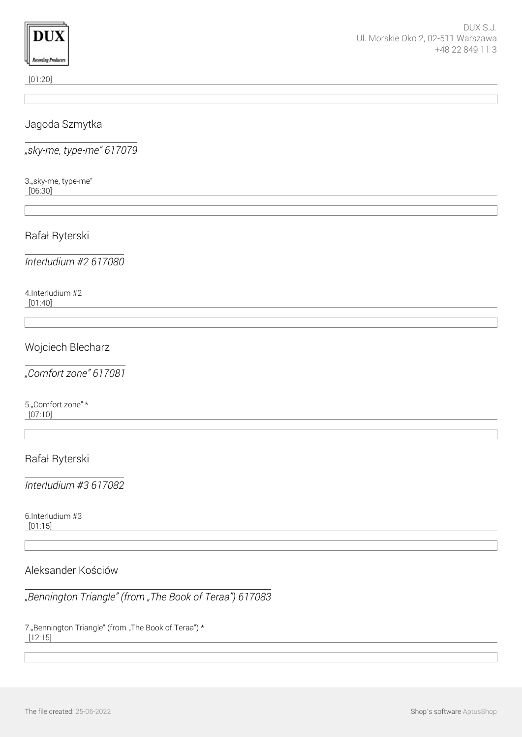

[01:20]

### Jagoda Szmytka

*"sky-me, type-me" 617079*

3."sky-me, type-me" [06:30]

Rafał Ryterski

*Interludium #2 617080*

4.Interludium #2 [01:40]

## Wojciech Blecharz

*"Comfort zone" 617081*

5."Comfort zone" \* [07:10]

Rafał Ryterski

*Interludium #3 617082*

6.Interludium #3 [01:15]

#### Aleksander Kościów

*"Bennington Triangle" (from "The Book of Teraa") 617083*

7. Bennington Triangle" (from "The Book of Teraa") \* [12:15]